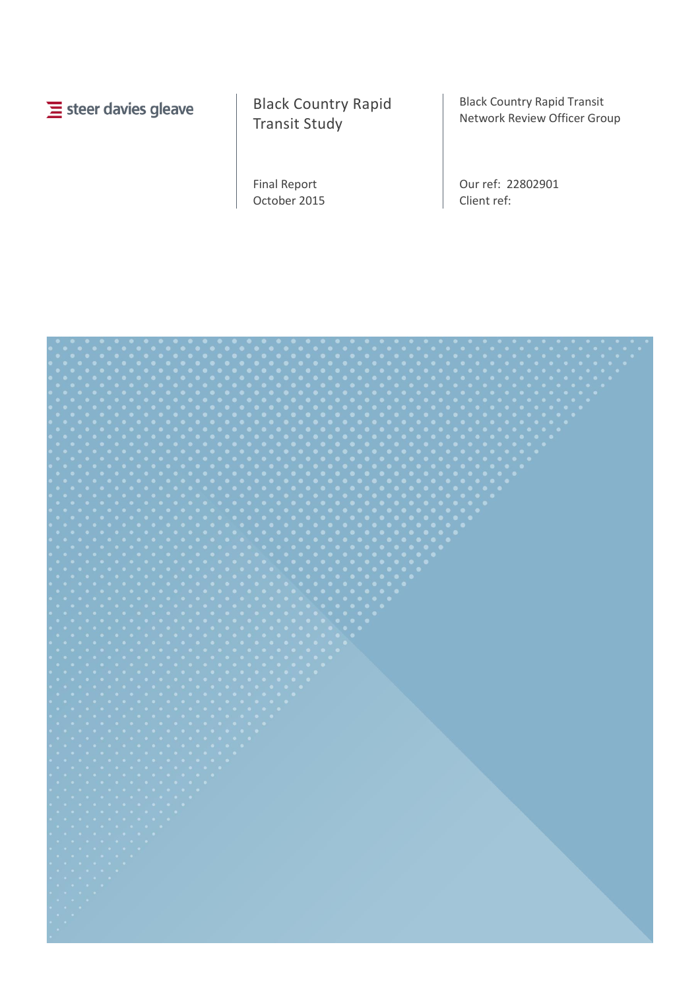$\equiv$  steer davies gleave

Black Country Rapid Transit Study

Final Report October 2015 Black Country Rapid Transit Network Review Officer Group

Our ref: 22802901 Client ref:

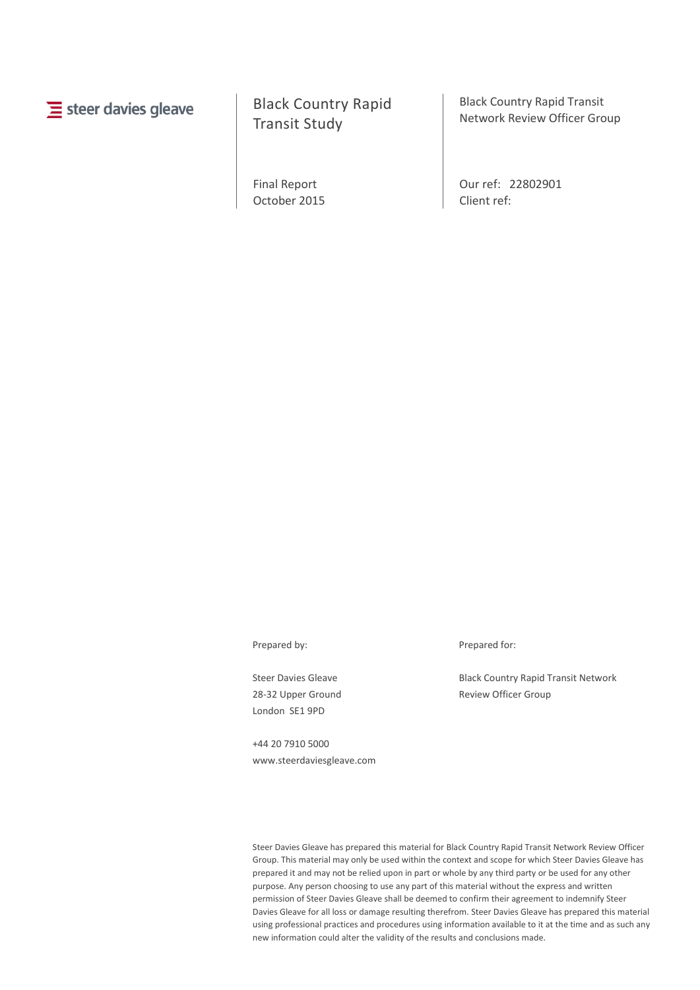# $\equiv$  steer davies gleave

# Black Country Rapid Transit Study

Final Report October 2015 Black Country Rapid Transit Network Review Officer Group

Our ref: 22802901 Client ref:

Steer Davies Gleave 28-32 Upper Ground London SE1 9PD

+44 20 7910 5000 www.steerdaviesgleave.com

Prepared by: Prepared for:

Black Country Rapid Transit Network Review Officer Group

Steer Davies Gleave has prepared this material for Black Country Rapid Transit Network Review Officer Group. This material may only be used within the context and scope for which Steer Davies Gleave has prepared it and may not be relied upon in part or whole by any third party or be used for any other purpose. Any person choosing to use any part of this material without the express and written permission of Steer Davies Gleave shall be deemed to confirm their agreement to indemnify Steer Davies Gleave for all loss or damage resulting therefrom. Steer Davies Gleave has prepared this material using professional practices and procedures using information available to it at the time and as such any new information could alter the validity of the results and conclusions made.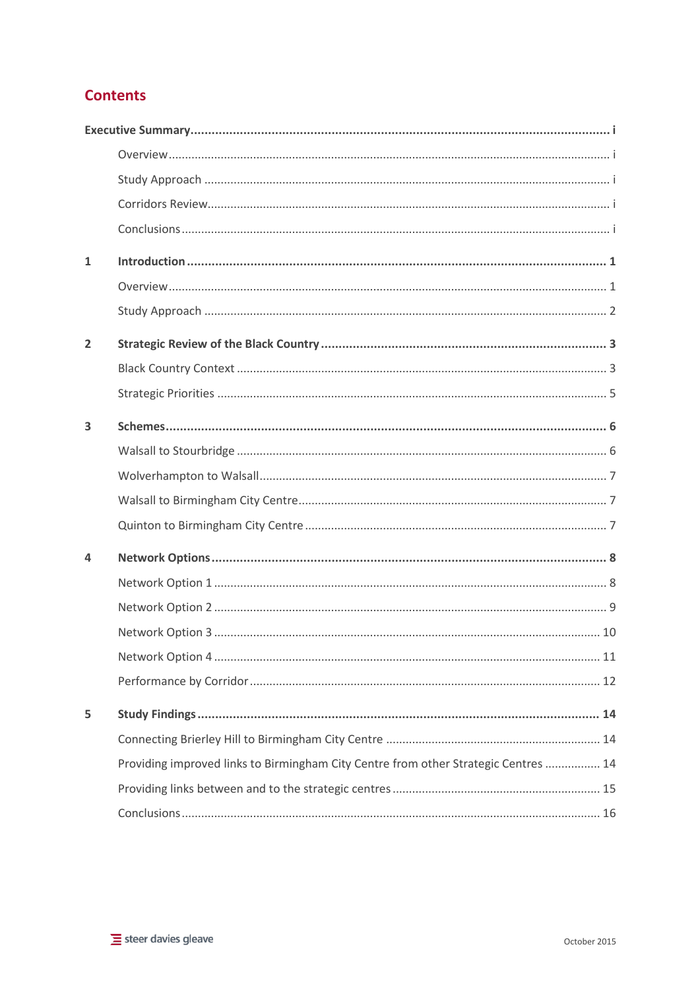# **Contents**

| $\mathbf{1}$   |                                                                                     |
|----------------|-------------------------------------------------------------------------------------|
|                |                                                                                     |
|                |                                                                                     |
| $\overline{2}$ |                                                                                     |
|                |                                                                                     |
|                |                                                                                     |
| 3              |                                                                                     |
|                |                                                                                     |
|                |                                                                                     |
|                |                                                                                     |
|                |                                                                                     |
| 4              |                                                                                     |
|                |                                                                                     |
|                |                                                                                     |
|                |                                                                                     |
|                |                                                                                     |
|                |                                                                                     |
| 5              |                                                                                     |
|                |                                                                                     |
|                | Providing improved links to Birmingham City Centre from other Strategic Centres  14 |
|                |                                                                                     |
|                |                                                                                     |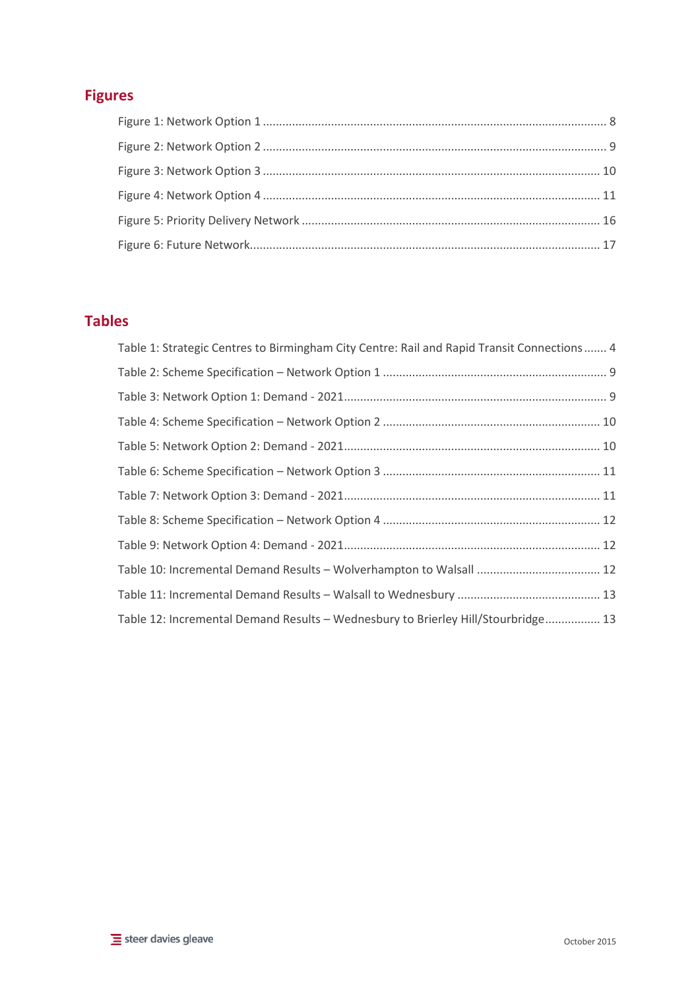# **Figures**

# **Tables**

| Table 1: Strategic Centres to Birmingham City Centre: Rail and Rapid Transit Connections  4 |  |
|---------------------------------------------------------------------------------------------|--|
|                                                                                             |  |
|                                                                                             |  |
|                                                                                             |  |
|                                                                                             |  |
|                                                                                             |  |
|                                                                                             |  |
|                                                                                             |  |
|                                                                                             |  |
|                                                                                             |  |
|                                                                                             |  |
| Table 12: Incremental Demand Results - Wednesbury to Brierley Hill/Stourbridge 13           |  |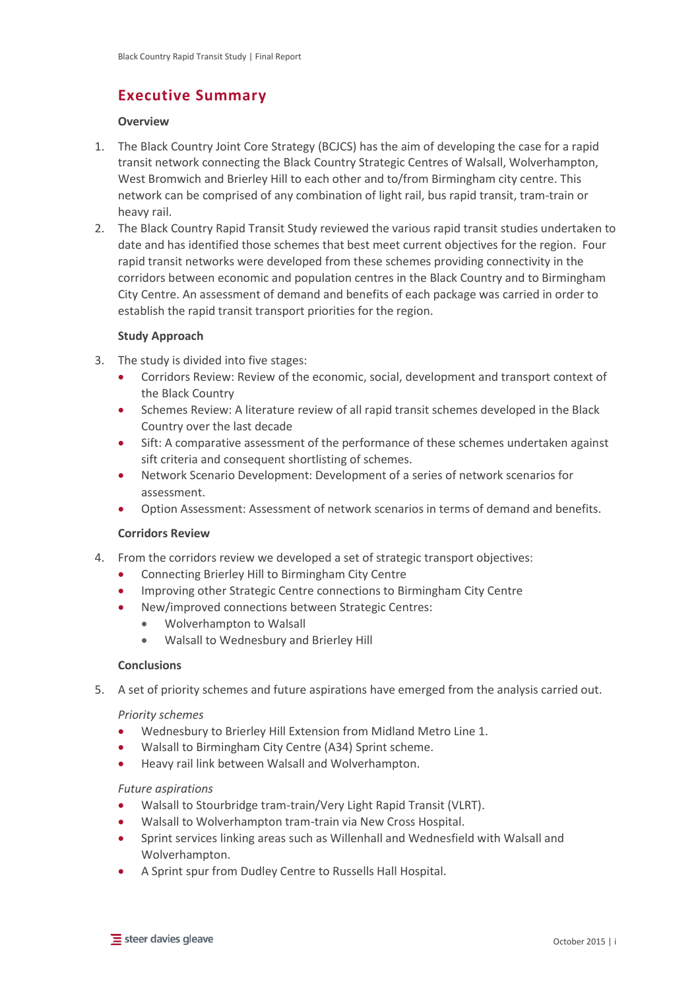# <span id="page-5-0"></span>**Executive Summary**

## <span id="page-5-1"></span>**Overview**

- 1. The Black Country Joint Core Strategy (BCJCS) has the aim of developing the case for a rapid transit network connecting the Black Country Strategic Centres of Walsall, Wolverhampton, West Bromwich and Brierley Hill to each other and to/from Birmingham city centre. This network can be comprised of any combination of light rail, bus rapid transit, tram-train or heavy rail.
- 2. The Black Country Rapid Transit Study reviewed the various rapid transit studies undertaken to date and has identified those schemes that best meet current objectives for the region. Four rapid transit networks were developed from these schemes providing connectivity in the corridors between economic and population centres in the Black Country and to Birmingham City Centre. An assessment of demand and benefits of each package was carried in order to establish the rapid transit transport priorities for the region.

## <span id="page-5-2"></span>**Study Approach**

- 3. The study is divided into five stages:
	- Corridors Review: Review of the economic, social, development and transport context of the Black Country
	- Schemes Review: A literature review of all rapid transit schemes developed in the Black Country over the last decade
	- Sift: A comparative assessment of the performance of these schemes undertaken against sift criteria and consequent shortlisting of schemes.
	- Network Scenario Development: Development of a series of network scenarios for assessment.
	- Option Assessment: Assessment of network scenarios in terms of demand and benefits.

## <span id="page-5-3"></span>**Corridors Review**

- 4. From the corridors review we developed a set of strategic transport objectives:
	- Connecting Brierley Hill to Birmingham City Centre
	- Improving other Strategic Centre connections to Birmingham City Centre
	- New/improved connections between Strategic Centres:
		- Wolverhampton to Walsall
		- Walsall to Wednesbury and Brierley Hill

## <span id="page-5-4"></span>**Conclusions**

5. A set of priority schemes and future aspirations have emerged from the analysis carried out.

## *Priority schemes*

- Wednesbury to Brierley Hill Extension from Midland Metro Line 1.
- Walsall to Birmingham City Centre (A34) Sprint scheme.
- Heavy rail link between Walsall and Wolverhampton.

## *Future aspirations*

- Walsall to Stourbridge tram-train/Very Light Rapid Transit (VLRT).
- Walsall to Wolverhampton tram-train via New Cross Hospital.
- Sprint services linking areas such as Willenhall and Wednesfield with Walsall and Wolverhampton.
- A Sprint spur from Dudley Centre to Russells Hall Hospital.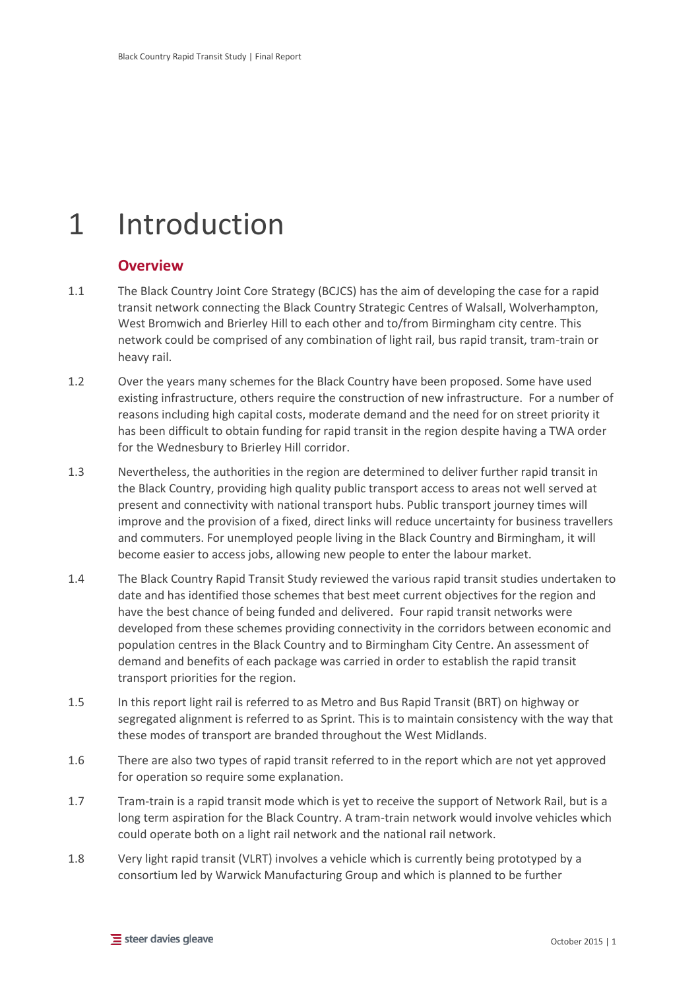# <span id="page-6-0"></span>1 Introduction

## <span id="page-6-1"></span>**Overview**

- 1.1 The Black Country Joint Core Strategy (BCJCS) has the aim of developing the case for a rapid transit network connecting the Black Country Strategic Centres of Walsall, Wolverhampton, West Bromwich and Brierley Hill to each other and to/from Birmingham city centre. This network could be comprised of any combination of light rail, bus rapid transit, tram-train or heavy rail.
- 1.2 Over the years many schemes for the Black Country have been proposed. Some have used existing infrastructure, others require the construction of new infrastructure. For a number of reasons including high capital costs, moderate demand and the need for on street priority it has been difficult to obtain funding for rapid transit in the region despite having a TWA order for the Wednesbury to Brierley Hill corridor.
- 1.3 Nevertheless, the authorities in the region are determined to deliver further rapid transit in the Black Country, providing high quality public transport access to areas not well served at present and connectivity with national transport hubs. Public transport journey times will improve and the provision of a fixed, direct links will reduce uncertainty for business travellers and commuters. For unemployed people living in the Black Country and Birmingham, it will become easier to access jobs, allowing new people to enter the labour market.
- 1.4 The Black Country Rapid Transit Study reviewed the various rapid transit studies undertaken to date and has identified those schemes that best meet current objectives for the region and have the best chance of being funded and delivered. Four rapid transit networks were developed from these schemes providing connectivity in the corridors between economic and population centres in the Black Country and to Birmingham City Centre. An assessment of demand and benefits of each package was carried in order to establish the rapid transit transport priorities for the region.
- 1.5 In this report light rail is referred to as Metro and Bus Rapid Transit (BRT) on highway or segregated alignment is referred to as Sprint. This is to maintain consistency with the way that these modes of transport are branded throughout the West Midlands.
- 1.6 There are also two types of rapid transit referred to in the report which are not yet approved for operation so require some explanation.
- 1.7 Tram-train is a rapid transit mode which is yet to receive the support of Network Rail, but is a long term aspiration for the Black Country. A tram-train network would involve vehicles which could operate both on a light rail network and the national rail network.
- 1.8 Very light rapid transit (VLRT) involves a vehicle which is currently being prototyped by a consortium led by Warwick Manufacturing Group and which is planned to be further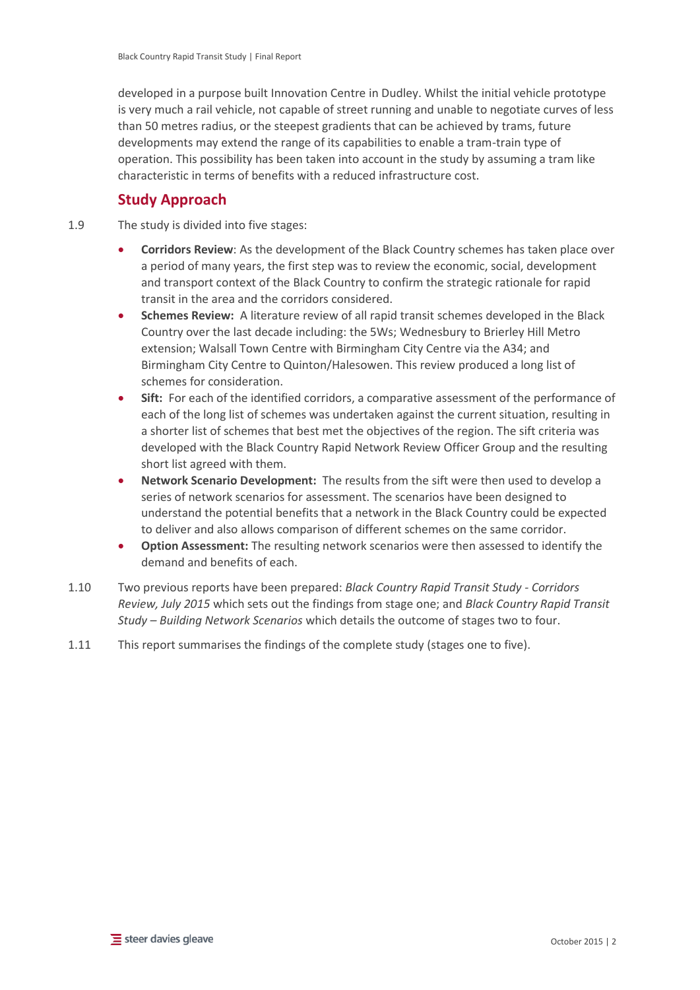developed in a purpose built Innovation Centre in Dudley. Whilst the initial vehicle prototype is very much a rail vehicle, not capable of street running and unable to negotiate curves of less than 50 metres radius, or the steepest gradients that can be achieved by trams, future developments may extend the range of its capabilities to enable a tram-train type of operation. This possibility has been taken into account in the study by assuming a tram like characteristic in terms of benefits with a reduced infrastructure cost.

# <span id="page-7-0"></span>**Study Approach**

- 1.9 The study is divided into five stages:
	- **Corridors Review**: As the development of the Black Country schemes has taken place over a period of many years, the first step was to review the economic, social, development and transport context of the Black Country to confirm the strategic rationale for rapid transit in the area and the corridors considered.
	- **Schemes Review:** A literature review of all rapid transit schemes developed in the Black Country over the last decade including: the 5Ws; Wednesbury to Brierley Hill Metro extension; Walsall Town Centre with Birmingham City Centre via the A34; and Birmingham City Centre to Quinton/Halesowen. This review produced a long list of schemes for consideration.
	- Sift: For each of the identified corridors, a comparative assessment of the performance of each of the long list of schemes was undertaken against the current situation, resulting in a shorter list of schemes that best met the objectives of the region. The sift criteria was developed with the Black Country Rapid Network Review Officer Group and the resulting short list agreed with them.
	- **Network Scenario Development:** The results from the sift were then used to develop a series of network scenarios for assessment. The scenarios have been designed to understand the potential benefits that a network in the Black Country could be expected to deliver and also allows comparison of different schemes on the same corridor.
	- **Option Assessment:** The resulting network scenarios were then assessed to identify the demand and benefits of each.
- 1.10 Two previous reports have been prepared: *Black Country Rapid Transit Study - Corridors Review, July 2015* which sets out the findings from stage one; and *Black Country Rapid Transit Study – Building Network Scenarios* which details the outcome of stages two to four.
- 1.11 This report summarises the findings of the complete study (stages one to five).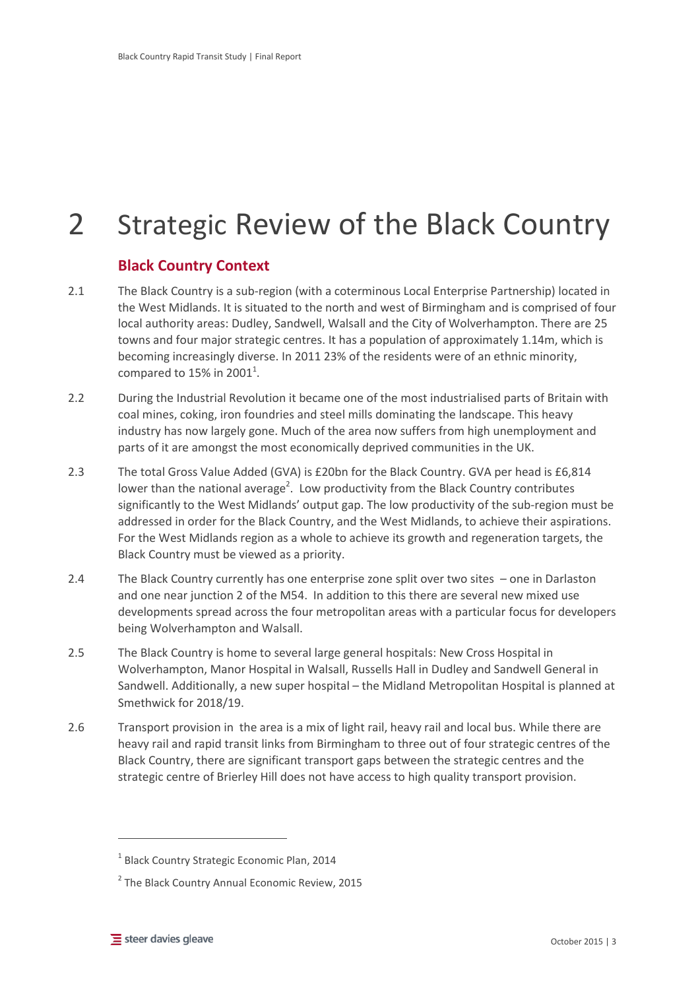# <span id="page-8-0"></span>2 Strategic Review of the Black Country

# <span id="page-8-1"></span>**Black Country Context**

- 2.1 The Black Country is a sub-region (with a coterminous Local Enterprise Partnership) located in the West Midlands. It is situated to the north and west of Birmingham and is comprised of four local authority areas: Dudley, Sandwell, Walsall and the City of Wolverhampton. There are 25 towns and four major strategic centres. It has a population of approximately 1.14m, which is becoming increasingly diverse. In 2011 23% of the residents were of an ethnic minority, compared to 15% in 2001<sup>1</sup>.
- 2.2 During the Industrial Revolution it became one of the most industrialised parts of Britain with coal mines, coking, iron foundries and steel mills dominating the landscape. This heavy industry has now largely gone. Much of the area now suffers from high unemployment and parts of it are amongst the most economically deprived communities in the UK.
- 2.3 The total Gross Value Added (GVA) is £20bn for the Black Country. GVA per head is £6,814 lower than the national average<sup>2</sup>. Low productivity from the Black Country contributes significantly to the West Midlands' output gap. The low productivity of the sub-region must be addressed in order for the Black Country, and the West Midlands, to achieve their aspirations. For the West Midlands region as a whole to achieve its growth and regeneration targets, the Black Country must be viewed as a priority.
- 2.4 The Black Country currently has one enterprise zone split over two sites one in Darlaston and one near junction 2 of the M54. In addition to this there are several new mixed use developments spread across the four metropolitan areas with a particular focus for developers being Wolverhampton and Walsall.
- 2.5 The Black Country is home to several large general hospitals: New Cross Hospital in Wolverhampton, Manor Hospital in Walsall, Russells Hall in Dudley and Sandwell General in Sandwell. Additionally, a new super hospital – the Midland Metropolitan Hospital is planned at Smethwick for 2018/19.
- 2.6 Transport provision in the area is a mix of light rail, heavy rail and local bus. While there are heavy rail and rapid transit links from Birmingham to three out of four strategic centres of the Black Country, there are significant transport gaps between the strategic centres and the strategic centre of Brierley Hill does not have access to high quality transport provision.

 $\overline{a}$ 

<sup>&</sup>lt;sup>1</sup> Black Country Strategic Economic Plan, 2014

<sup>&</sup>lt;sup>2</sup> The Black Country Annual Economic Review, 2015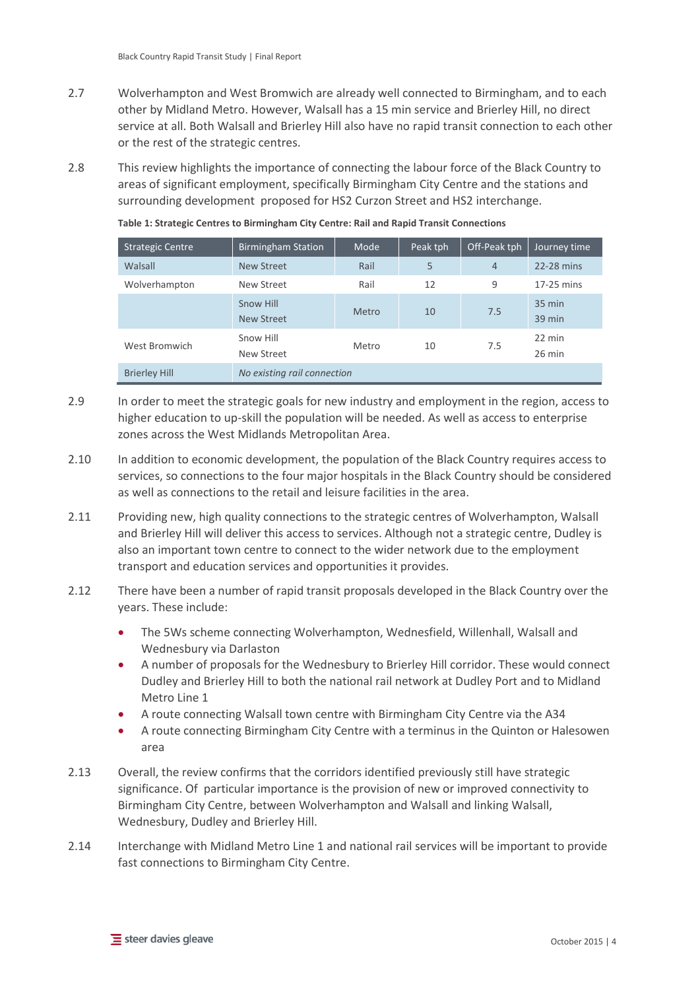- 2.7 Wolverhampton and West Bromwich are already well connected to Birmingham, and to each other by Midland Metro. However, Walsall has a 15 min service and Brierley Hill, no direct service at all. Both Walsall and Brierley Hill also have no rapid transit connection to each other or the rest of the strategic centres.
- 2.8 This review highlights the importance of connecting the labour force of the Black Country to areas of significant employment, specifically Birmingham City Centre and the stations and surrounding development proposed for HS2 Curzon Street and HS2 interchange.

| <b>Strategic Centre</b> | <b>Birmingham Station</b>   | Mode         | Peak tph | Off-Peak tph   | Journey time               |
|-------------------------|-----------------------------|--------------|----------|----------------|----------------------------|
| Walsall                 | <b>New Street</b>           | Rail         | 5        | $\overline{4}$ | 22-28 mins                 |
| Wolverhampton           | New Street                  | Rail         | 12       | 9              | 17-25 mins                 |
|                         | Snow Hill<br>New Street     | <b>Metro</b> | 10       | 7.5            | 35 min<br>$39 \text{ min}$ |
| West Bromwich           | Snow Hill<br>New Street     | Metro        | 10       | 7.5            | 22 min<br>$26$ min         |
| <b>Brierley Hill</b>    | No existing rail connection |              |          |                |                            |

<span id="page-9-0"></span>**Table 1: Strategic Centres to Birmingham City Centre: Rail and Rapid Transit Connections**

- 2.9 In order to meet the strategic goals for new industry and employment in the region, access to higher education to up-skill the population will be needed. As well as access to enterprise zones across the West Midlands Metropolitan Area.
- 2.10 In addition to economic development, the population of the Black Country requires access to services, so connections to the four major hospitals in the Black Country should be considered as well as connections to the retail and leisure facilities in the area.
- 2.11 Providing new, high quality connections to the strategic centres of Wolverhampton, Walsall and Brierley Hill will deliver this access to services. Although not a strategic centre, Dudley is also an important town centre to connect to the wider network due to the employment transport and education services and opportunities it provides.
- 2.12 There have been a number of rapid transit proposals developed in the Black Country over the years. These include:
	- The 5Ws scheme connecting Wolverhampton, Wednesfield, Willenhall, Walsall and Wednesbury via Darlaston
	- A number of proposals for the Wednesbury to Brierley Hill corridor. These would connect Dudley and Brierley Hill to both the national rail network at Dudley Port and to Midland Metro Line 1
	- A route connecting Walsall town centre with Birmingham City Centre via the A34
	- A route connecting Birmingham City Centre with a terminus in the Quinton or Halesowen area
- 2.13 Overall, the review confirms that the corridors identified previously still have strategic significance. Of particular importance is the provision of new or improved connectivity to Birmingham City Centre, between Wolverhampton and Walsall and linking Walsall, Wednesbury, Dudley and Brierley Hill.
- 2.14 Interchange with Midland Metro Line 1 and national rail services will be important to provide fast connections to Birmingham City Centre.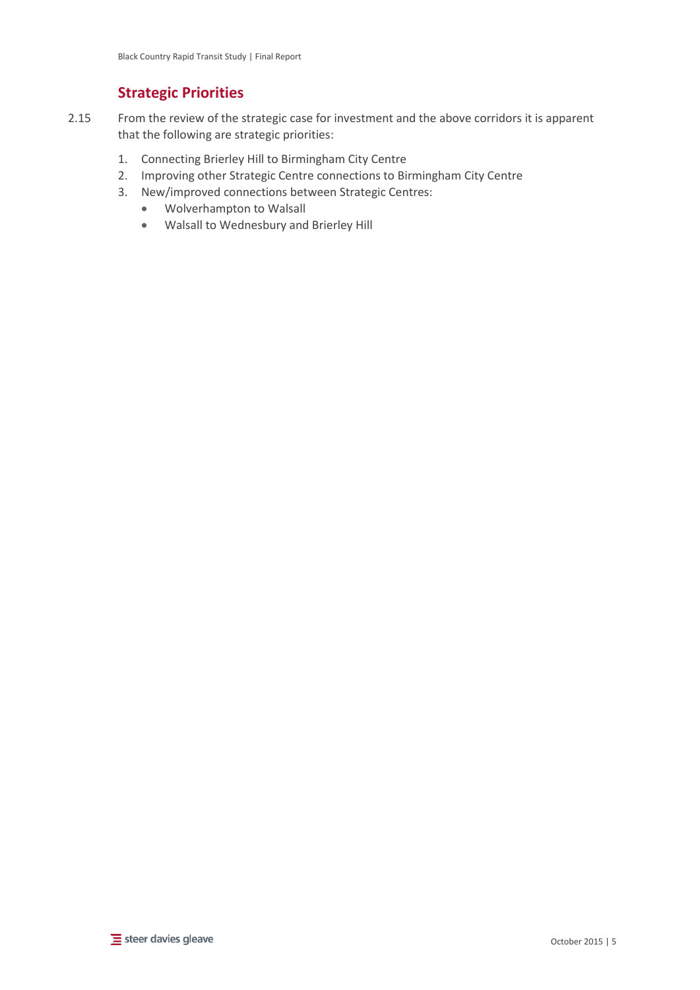# <span id="page-10-0"></span>**Strategic Priorities**

- 2.15 From the review of the strategic case for investment and the above corridors it is apparent that the following are strategic priorities:
	- 1. Connecting Brierley Hill to Birmingham City Centre
	- 2. Improving other Strategic Centre connections to Birmingham City Centre
	- 3. New/improved connections between Strategic Centres:
		- Wolverhampton to Walsall
		- Walsall to Wednesbury and Brierley Hill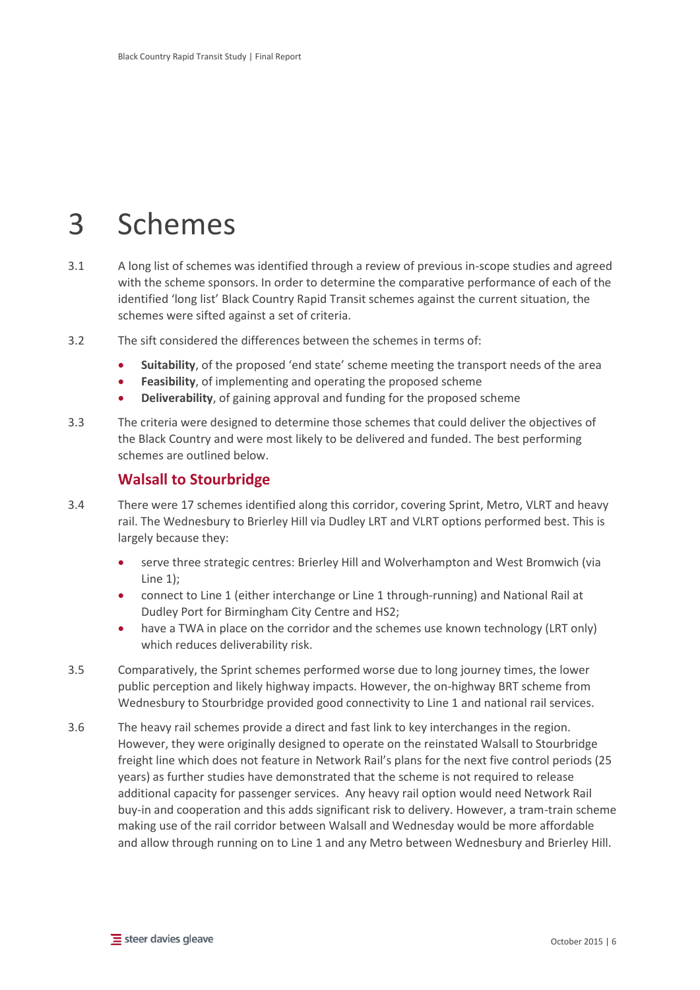# <span id="page-11-0"></span>3 Schemes

- 3.1 A long list of schemes was identified through a review of previous in-scope studies and agreed with the scheme sponsors. In order to determine the comparative performance of each of the identified 'long list' Black Country Rapid Transit schemes against the current situation, the schemes were sifted against a set of criteria.
- 3.2 The sift considered the differences between the schemes in terms of:
	- **Suitability**, of the proposed 'end state' scheme meeting the transport needs of the area
	- **Feasibility**, of implementing and operating the proposed scheme
	- **Deliverability**, of gaining approval and funding for the proposed scheme
- 3.3 The criteria were designed to determine those schemes that could deliver the objectives of the Black Country and were most likely to be delivered and funded. The best performing schemes are outlined below.

## <span id="page-11-1"></span>**Walsall to Stourbridge**

- 3.4 There were 17 schemes identified along this corridor, covering Sprint, Metro, VLRT and heavy rail. The Wednesbury to Brierley Hill via Dudley LRT and VLRT options performed best. This is largely because they:
	- serve three strategic centres: Brierley Hill and Wolverhampton and West Bromwich (via Line 1);
	- connect to Line 1 (either interchange or Line 1 through-running) and National Rail at Dudley Port for Birmingham City Centre and HS2;
	- have a TWA in place on the corridor and the schemes use known technology (LRT only) which reduces deliverability risk.
- 3.5 Comparatively, the Sprint schemes performed worse due to long journey times, the lower public perception and likely highway impacts. However, the on-highway BRT scheme from Wednesbury to Stourbridge provided good connectivity to Line 1 and national rail services.
- 3.6 The heavy rail schemes provide a direct and fast link to key interchanges in the region. However, they were originally designed to operate on the reinstated Walsall to Stourbridge freight line which does not feature in Network Rail's plans for the next five control periods (25 years) as further studies have demonstrated that the scheme is not required to release additional capacity for passenger services. Any heavy rail option would need Network Rail buy-in and cooperation and this adds significant risk to delivery. However, a tram-train scheme making use of the rail corridor between Walsall and Wednesday would be more affordable and allow through running on to Line 1 and any Metro between Wednesbury and Brierley Hill.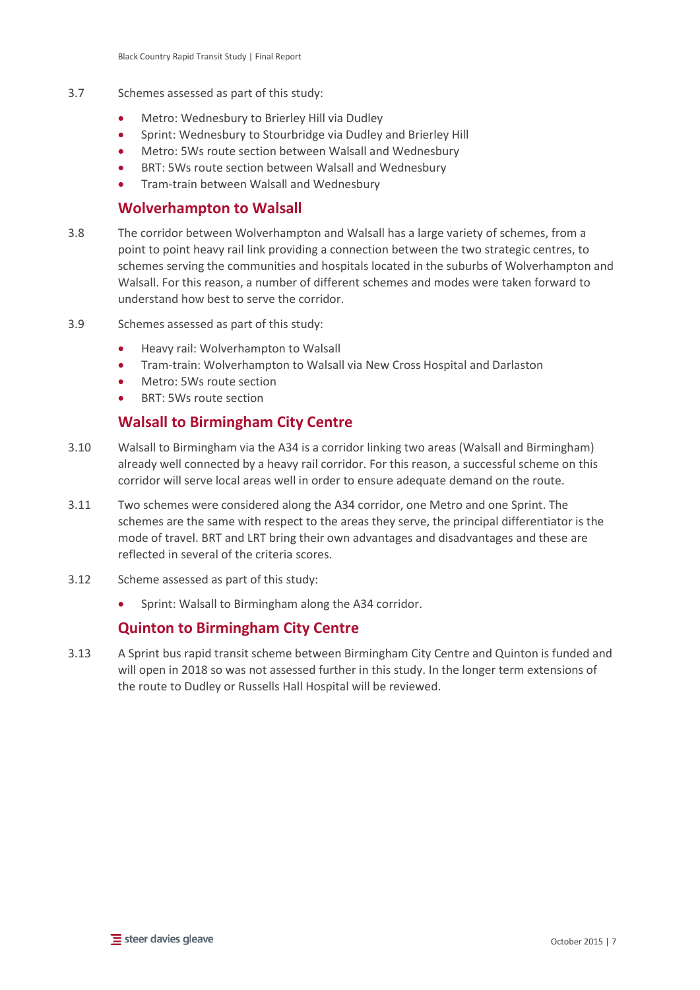- 3.7 Schemes assessed as part of this study:
	- Metro: Wednesbury to Brierley Hill via Dudley
	- Sprint: Wednesbury to Stourbridge via Dudley and Brierley Hill
	- Metro: 5Ws route section between Walsall and Wednesbury
	- BRT: 5Ws route section between Walsall and Wednesbury
	- Tram-train between Walsall and Wednesbury

## <span id="page-12-0"></span>**Wolverhampton to Walsall**

- 3.8 The corridor between Wolverhampton and Walsall has a large variety of schemes, from a point to point heavy rail link providing a connection between the two strategic centres, to schemes serving the communities and hospitals located in the suburbs of Wolverhampton and Walsall. For this reason, a number of different schemes and modes were taken forward to understand how best to serve the corridor.
- 3.9 Schemes assessed as part of this study:
	- Heavy rail: Wolverhampton to Walsall
	- Tram-train: Wolverhampton to Walsall via New Cross Hospital and Darlaston
	- Metro: 5Ws route section
	- BRT: 5Ws route section

# <span id="page-12-1"></span>**Walsall to Birmingham City Centre**

- 3.10 Walsall to Birmingham via the A34 is a corridor linking two areas (Walsall and Birmingham) already well connected by a heavy rail corridor. For this reason, a successful scheme on this corridor will serve local areas well in order to ensure adequate demand on the route.
- 3.11 Two schemes were considered along the A34 corridor, one Metro and one Sprint. The schemes are the same with respect to the areas they serve, the principal differentiator is the mode of travel. BRT and LRT bring their own advantages and disadvantages and these are reflected in several of the criteria scores.
- 3.12 Scheme assessed as part of this study:
	- Sprint: Walsall to Birmingham along the A34 corridor.

# <span id="page-12-2"></span>**Quinton to Birmingham City Centre**

3.13 A Sprint bus rapid transit scheme between Birmingham City Centre and Quinton is funded and will open in 2018 so was not assessed further in this study. In the longer term extensions of the route to Dudley or Russells Hall Hospital will be reviewed.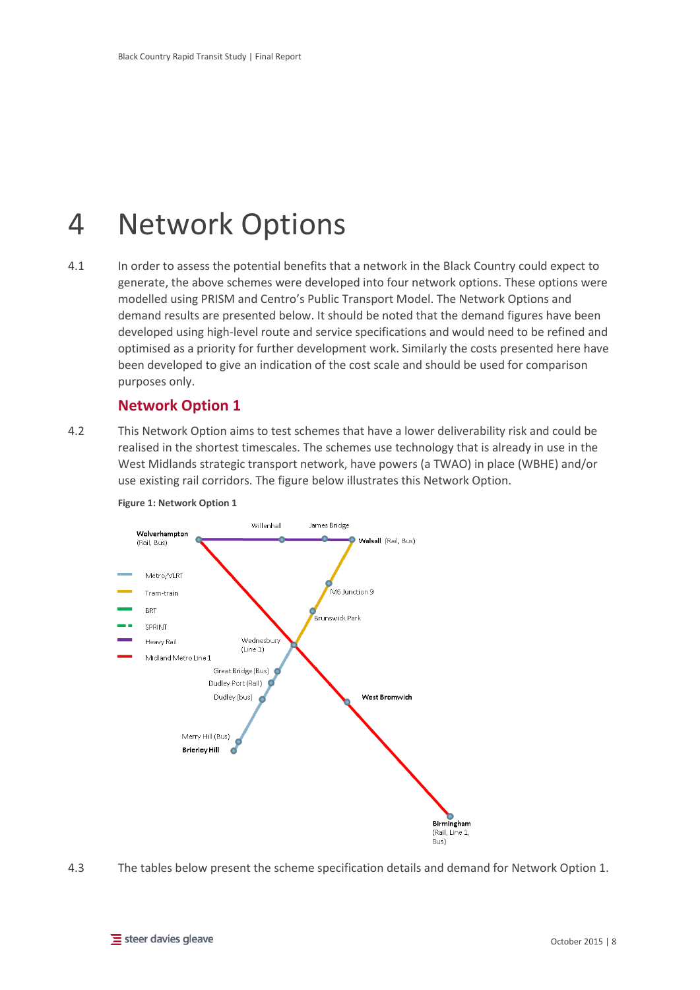# <span id="page-13-0"></span>4 Network Options

4.1 In order to assess the potential benefits that a network in the Black Country could expect to generate, the above schemes were developed into four network options. These options were modelled using PRISM and Centro's Public Transport Model. The Network Options and demand results are presented below. It should be noted that the demand figures have been developed using high-level route and service specifications and would need to be refined and optimised as a priority for further development work. Similarly the costs presented here have been developed to give an indication of the cost scale and should be used for comparison purposes only.

## <span id="page-13-1"></span>**Network Option 1**

4.2 This Network Option aims to test schemes that have a lower deliverability risk and could be realised in the shortest timescales. The schemes use technology that is already in use in the West Midlands strategic transport network, have powers (a TWAO) in place (WBHE) and/or use existing rail corridors. The figure below illustrates this Network Option.



#### <span id="page-13-2"></span>**Figure 1: Network Option 1**

4.3 The tables below present the scheme specification details and demand for Network Option 1.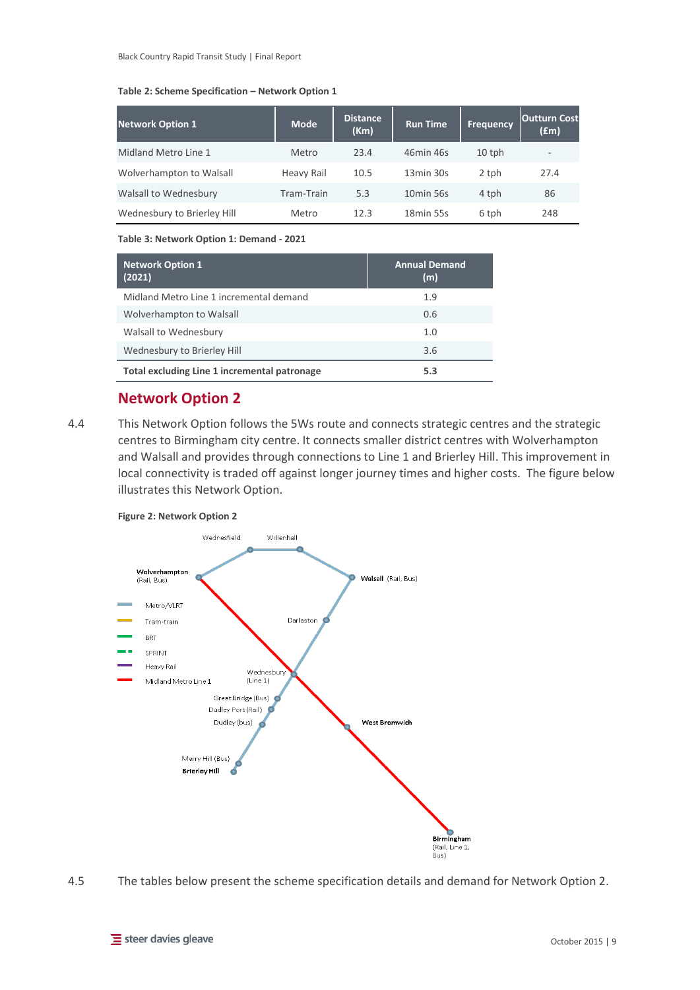#### <span id="page-14-2"></span>**Table 2: Scheme Specification – Network Option 1**

| <b>Network Option 1</b>     | <b>Mode</b> | <b>Distance</b><br>(Km) | <b>Run Time</b>       | <b>Frequency</b> | <b>Outturn Cost</b><br>(£m) |
|-----------------------------|-------------|-------------------------|-----------------------|------------------|-----------------------------|
| Midland Metro Line 1        | Metro       | 23.4                    | 46min 46s             | $10$ tph         | $\overline{\phantom{a}}$    |
| Wolverhampton to Walsall    | Heavy Rail  | 10.5                    | 13min 30s             | 2 tph            | 27.4                        |
| Walsall to Wednesbury       | Tram-Train  | 5.3                     | 10 <sub>min</sub> 56s | 4 tph            | 86                          |
| Wednesbury to Brierley Hill | Metro       | 12.3                    | 18 <sub>min</sub> 55s | 6 tph            | 248                         |

#### <span id="page-14-3"></span>**Table 3: Network Option 1: Demand - 2021**

| <b>Network Option 1</b><br>(2021)            | <b>Annual Demand</b><br>(m) |
|----------------------------------------------|-----------------------------|
| Midland Metro Line 1 incremental demand      | 1.9                         |
| Wolverhampton to Walsall                     | 0.6                         |
| Walsall to Wednesbury                        | 1.0                         |
| Wednesbury to Brierley Hill                  | 3.6                         |
| Total excluding Line 1 incremental patronage | 5.3                         |

# <span id="page-14-0"></span>**Network Option 2**

4.4 This Network Option follows the 5Ws route and connects strategic centres and the strategic centres to Birmingham city centre. It connects smaller district centres with Wolverhampton and Walsall and provides through connections to Line 1 and Brierley Hill. This improvement in local connectivity is traded off against longer journey times and higher costs. The figure below illustrates this Network Option.

#### <span id="page-14-1"></span>**Figure 2: Network Option 2**



4.5 The tables below present the scheme specification details and demand for Network Option 2.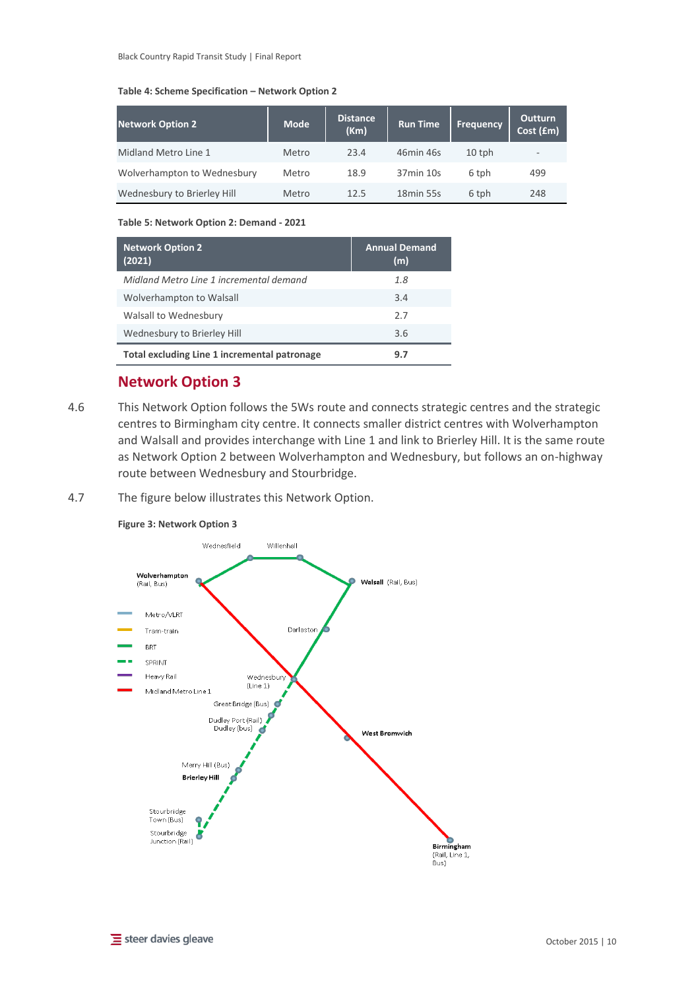#### <span id="page-15-2"></span>**Table 4: Scheme Specification – Network Option 2**

| <b>Network Option 2</b>     | <b>Mode</b> | <b>Distance</b><br>(Km) | <b>Run Time</b>       | <b>Frequency</b> | <b>Outturn</b><br>Cost (£m) |
|-----------------------------|-------------|-------------------------|-----------------------|------------------|-----------------------------|
| Midland Metro Line 1        | Metro       | 23.4                    | 46min 46s             | $10$ tph         | $\overline{\phantom{a}}$    |
| Wolverhampton to Wednesbury | Metro       | 18.9                    | 37min 10s             | 6 tph            | 499                         |
| Wednesbury to Brierley Hill | Metro       | 12.5                    | 18 <sub>min</sub> 55s | 6 tph            | 248                         |

#### <span id="page-15-3"></span>**Table 5: Network Option 2: Demand - 2021**

| <b>Network Option 2</b><br>(2021)            | <b>Annual Demand</b><br>(m) |
|----------------------------------------------|-----------------------------|
| Midland Metro Line 1 incremental demand      | 1.8                         |
| Wolverhampton to Walsall                     | 3.4                         |
| Walsall to Wednesbury                        | 27                          |
| Wednesbury to Brierley Hill                  | 3.6                         |
| Total excluding Line 1 incremental patronage | 9.7                         |

# <span id="page-15-0"></span>**Network Option 3**

4.6 This Network Option follows the 5Ws route and connects strategic centres and the strategic centres to Birmingham city centre. It connects smaller district centres with Wolverhampton and Walsall and provides interchange with Line 1 and link to Brierley Hill. It is the same route as Network Option 2 between Wolverhampton and Wednesbury, but follows an on-highway route between Wednesbury and Stourbridge.

## 4.7 The figure below illustrates this Network Option.



### <span id="page-15-1"></span>**Figure 3: Network Option 3**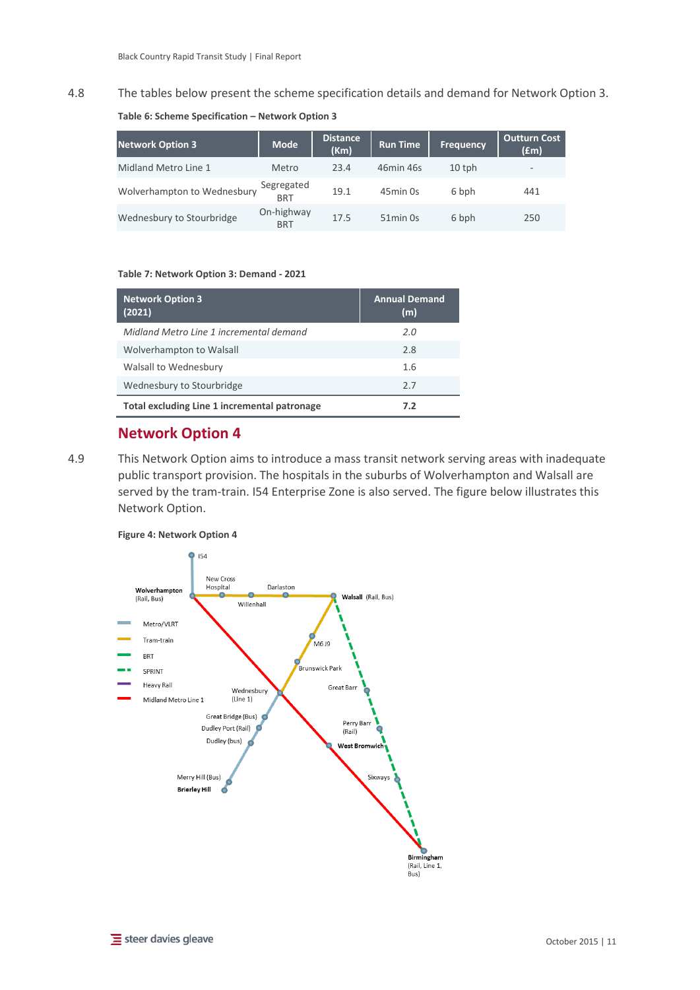## 4.8 The tables below present the scheme specification details and demand for Network Option 3.

#### <span id="page-16-2"></span>**Table 6: Scheme Specification – Network Option 3**

| <b>Network Option 3</b>     | <b>Mode</b>              | Distance<br>(Km) | <b>Run Time</b>      | <b>Frequency</b> | <b>Outturn Cost</b><br>(£m) |
|-----------------------------|--------------------------|------------------|----------------------|------------------|-----------------------------|
| Midland Metro Line 1        | Metro                    | 23.4             | 46min 46s            | $10$ tph         | $\overline{\phantom{a}}$    |
| Wolverhampton to Wednesbury | Segregated<br><b>BRT</b> | 19.1             | 45min 0s             | 6 bph            | 441                         |
| Wednesbury to Stourbridge   | On-highway<br><b>BRT</b> | 17.5             | 51 <sub>min</sub> 0s | 6 bph            | 250                         |

#### <span id="page-16-3"></span>**Table 7: Network Option 3: Demand - 2021**

| <b>Network Option 3</b><br>(2021)            | <b>Annual Demand</b><br>(m) |
|----------------------------------------------|-----------------------------|
| Midland Metro Line 1 incremental demand      | 2.0                         |
| Wolverhampton to Walsall                     | 2.8                         |
| Walsall to Wednesbury                        | 1.6                         |
| Wednesbury to Stourbridge                    | 27                          |
| Total excluding Line 1 incremental patronage | 7.2                         |

## <span id="page-16-0"></span>**Network Option 4**

4.9 This Network Option aims to introduce a mass transit network serving areas with inadequate public transport provision. The hospitals in the suburbs of Wolverhampton and Walsall are served by the tram-train. I54 Enterprise Zone is also served. The figure below illustrates this Network Option.

<span id="page-16-1"></span>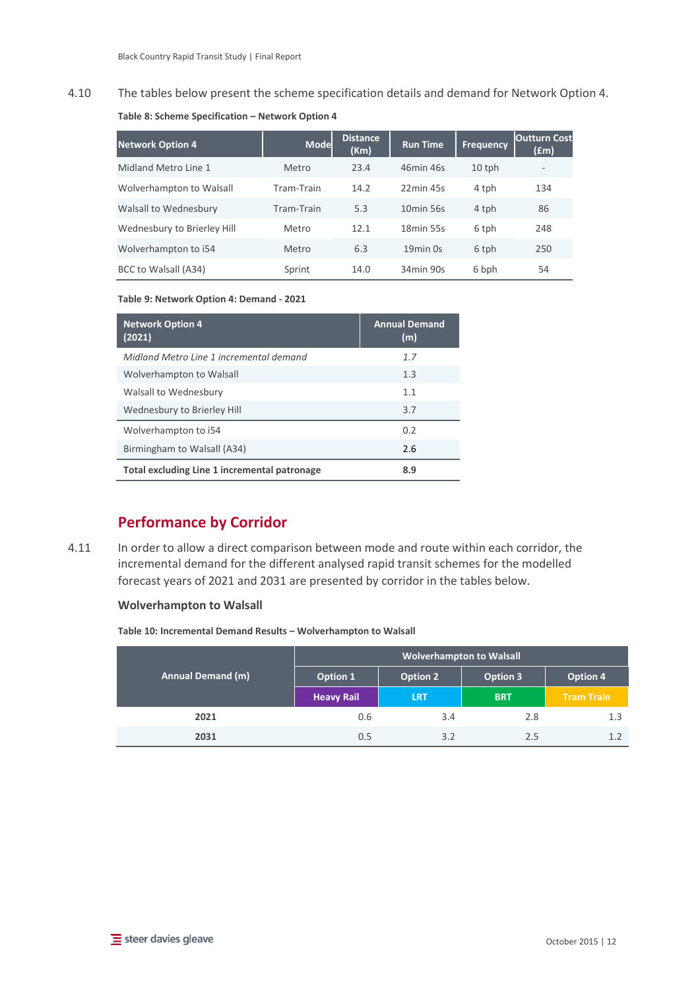## 4.10 The tables below present the scheme specification details and demand for Network Option 4.

<span id="page-17-1"></span>

| <b>Network Option 4</b>     | <b>Mode</b> | Distance<br>(Km) | <b>Run Time</b>       | <b>Frequency</b> | <b>Outturn Cost</b><br>(£m) |
|-----------------------------|-------------|------------------|-----------------------|------------------|-----------------------------|
| Midland Metro Line 1        | Metro       | 23.4             | 46min 46s             | $10$ tph         | $\overline{\phantom{0}}$    |
| Wolverhampton to Walsall    | Tram-Train  | 14.2             | 22min 45s             | 4 tph            | 134                         |
| Walsall to Wednesbury       | Tram-Train  | 5.3              | 10 <sub>min</sub> 56s | 4 tph            | 86                          |
| Wednesbury to Brierley Hill | Metro       | 12.1             | 18 <sub>min</sub> 55s | 6 tph            | 248                         |
| Wolverhampton to i54        | Metro       | 6.3              | 19 <sub>min</sub> 0s  | 6 tph            | 250                         |
| BCC to Walsall (A34)        | Sprint      | 14.0             | 34min 90s             | 6 bph            | 54                          |

<span id="page-17-2"></span>**Table 9: Network Option 4: Demand - 2021**

| <b>Network Option 4</b><br>(2021)            | <b>Annual Demand</b><br>(m) |
|----------------------------------------------|-----------------------------|
| Midland Metro Line 1 incremental demand      | 1.7                         |
| Wolverhampton to Walsall                     | 1.3                         |
| Walsall to Wednesbury                        | 1.1                         |
| Wednesbury to Brierley Hill                  | 3.7                         |
| Wolverhampton to i54                         | 0.2                         |
| Birmingham to Walsall (A34)                  | 2.6                         |
| Total excluding Line 1 incremental patronage | 8.9                         |

# <span id="page-17-0"></span>**Performance by Corridor**

4.11 In order to allow a direct comparison between mode and route within each corridor, the incremental demand for the different analysed rapid transit schemes for the modelled forecast years of 2021 and 2031 are presented by corridor in the tables below.

## **Wolverhampton to Walsall**

<span id="page-17-3"></span>**Table 10: Incremental Demand Results – Wolverhampton to Walsall**

|                          | <b>Wolverhampton to Walsall</b> |                 |                 |                   |
|--------------------------|---------------------------------|-----------------|-----------------|-------------------|
| <b>Annual Demand (m)</b> | Option 1                        | <b>Option 2</b> | <b>Option 3</b> | Option 4          |
|                          | <b>Heavy Rail</b>               | <b>LRT</b>      | <b>BRT</b>      | <b>Tram Train</b> |
| 2021                     | 0.6                             | 3.4             | 2.8             | 1.3               |
| 2031                     | 0.5                             | 3.2             | 2.5             | 1.2               |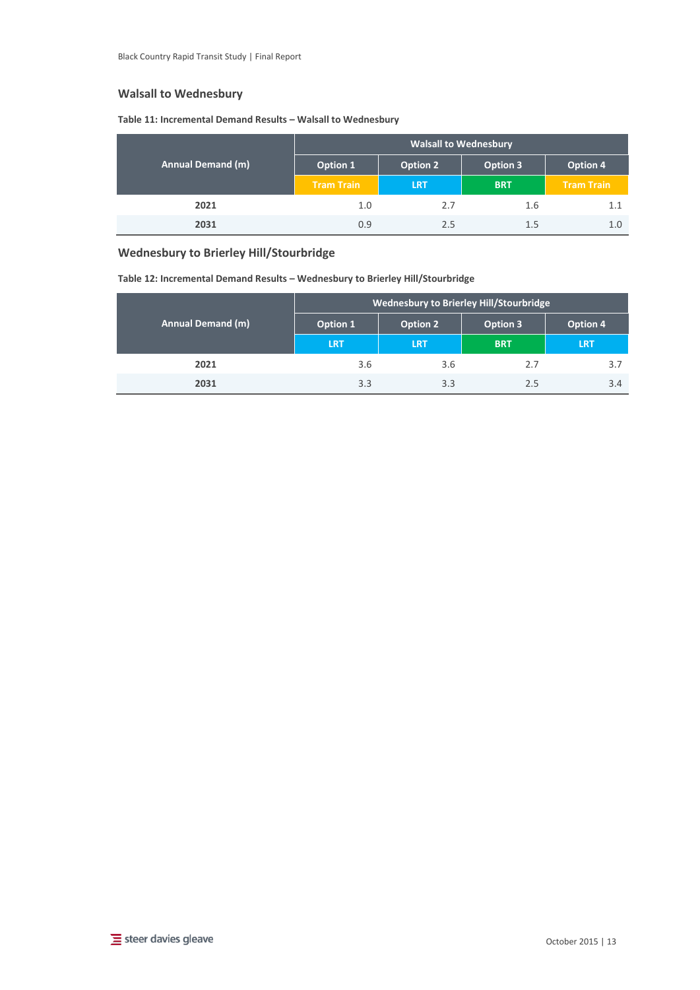## **Walsall to Wednesbury**

#### <span id="page-18-0"></span>**Table 11: Incremental Demand Results – Walsall to Wednesbury**

|                   | <b>Walsall to Wednesbury</b> |            |            |                   |
|-------------------|------------------------------|------------|------------|-------------------|
| Annual Demand (m) | Option 1                     | Option 2   | Option 3   | Option 4          |
|                   | <b>Tram Train</b>            | <b>LRT</b> | <b>BRT</b> | <b>Tram Train</b> |
| 2021              | 1.0                          | 2.7        | 1.6        | 1.1               |
| 2031              | 0.9                          | 2.5        | 1.5        | 1.0               |

## **Wednesbury to Brierley Hill/Stourbridge**

<span id="page-18-1"></span>**Table 12: Incremental Demand Results – Wednesbury to Brierley Hill/Stourbridge**

|                          | <b>Wednesbury to Brierley Hill/Stourbridge</b> |                 |            |            |
|--------------------------|------------------------------------------------|-----------------|------------|------------|
| <b>Annual Demand (m)</b> | Option 1                                       | <b>Option 2</b> | Option 3   | Option 4   |
|                          | <b>LRT</b>                                     | <b>LRT</b>      | <b>BRT</b> | <b>LRT</b> |
| 2021                     | 3.6                                            | 3.6             | 2.7        | 3.7        |
| 2031                     | 3.3                                            | 3.3             | 2.5        | 3.4        |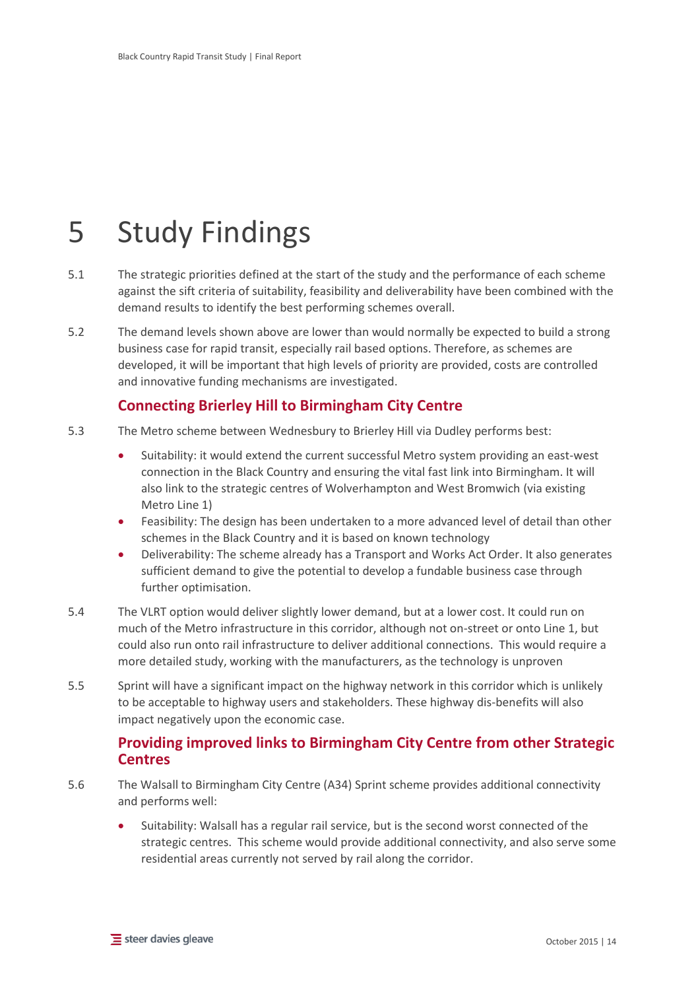# <span id="page-19-0"></span>5 Study Findings

- 5.1 The strategic priorities defined at the start of the study and the performance of each scheme against the sift criteria of suitability, feasibility and deliverability have been combined with the demand results to identify the best performing schemes overall.
- 5.2 The demand levels shown above are lower than would normally be expected to build a strong business case for rapid transit, especially rail based options. Therefore, as schemes are developed, it will be important that high levels of priority are provided, costs are controlled and innovative funding mechanisms are investigated.

# <span id="page-19-1"></span>**Connecting Brierley Hill to Birmingham City Centre**

- 5.3 The Metro scheme between Wednesbury to Brierley Hill via Dudley performs best:
	- Suitability: it would extend the current successful Metro system providing an east-west connection in the Black Country and ensuring the vital fast link into Birmingham. It will also link to the strategic centres of Wolverhampton and West Bromwich (via existing Metro Line 1)
	- Feasibility: The design has been undertaken to a more advanced level of detail than other schemes in the Black Country and it is based on known technology
	- Deliverability: The scheme already has a Transport and Works Act Order. It also generates sufficient demand to give the potential to develop a fundable business case through further optimisation.
- 5.4 The VLRT option would deliver slightly lower demand, but at a lower cost. It could run on much of the Metro infrastructure in this corridor, although not on-street or onto Line 1, but could also run onto rail infrastructure to deliver additional connections. This would require a more detailed study, working with the manufacturers, as the technology is unproven
- 5.5 Sprint will have a significant impact on the highway network in this corridor which is unlikely to be acceptable to highway users and stakeholders. These highway dis-benefits will also impact negatively upon the economic case.

## <span id="page-19-2"></span>**Providing improved links to Birmingham City Centre from other Strategic Centres**

- 5.6 The Walsall to Birmingham City Centre (A34) Sprint scheme provides additional connectivity and performs well:
	- Suitability: Walsall has a regular rail service, but is the second worst connected of the strategic centres. This scheme would provide additional connectivity, and also serve some residential areas currently not served by rail along the corridor.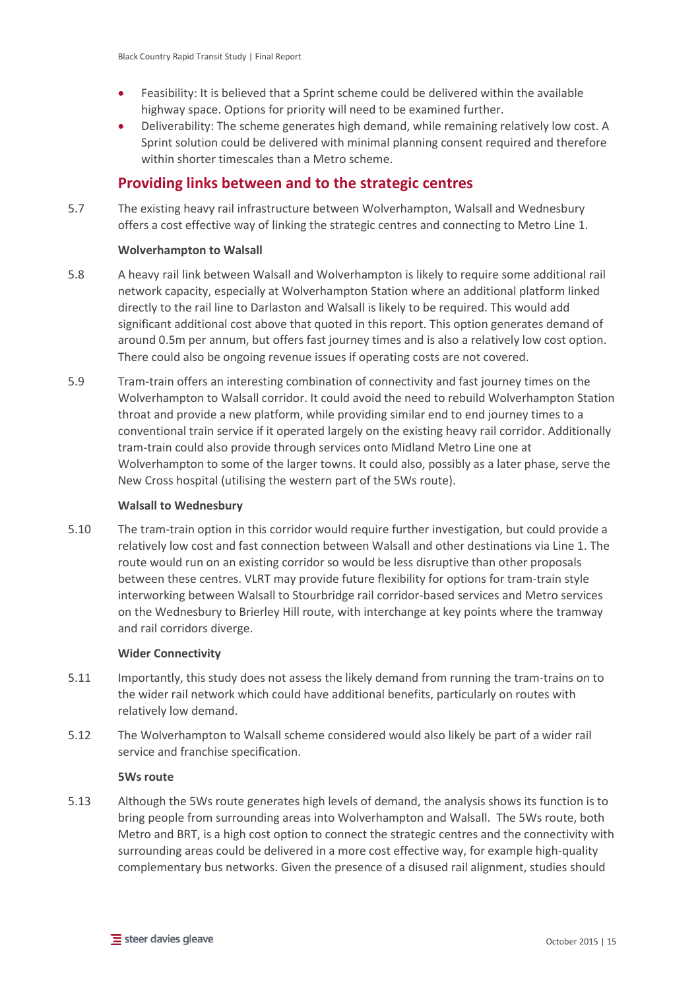- Feasibility: It is believed that a Sprint scheme could be delivered within the available highway space. Options for priority will need to be examined further.
- Deliverability: The scheme generates high demand, while remaining relatively low cost. A Sprint solution could be delivered with minimal planning consent required and therefore within shorter timescales than a Metro scheme.

## <span id="page-20-0"></span>**Providing links between and to the strategic centres**

5.7 The existing heavy rail infrastructure between Wolverhampton, Walsall and Wednesbury offers a cost effective way of linking the strategic centres and connecting to Metro Line 1.

## **Wolverhampton to Walsall**

- 5.8 A heavy rail link between Walsall and Wolverhampton is likely to require some additional rail network capacity, especially at Wolverhampton Station where an additional platform linked directly to the rail line to Darlaston and Walsall is likely to be required. This would add significant additional cost above that quoted in this report. This option generates demand of around 0.5m per annum, but offers fast journey times and is also a relatively low cost option. There could also be ongoing revenue issues if operating costs are not covered.
- 5.9 Tram-train offers an interesting combination of connectivity and fast journey times on the Wolverhampton to Walsall corridor. It could avoid the need to rebuild Wolverhampton Station throat and provide a new platform, while providing similar end to end journey times to a conventional train service if it operated largely on the existing heavy rail corridor. Additionally tram-train could also provide through services onto Midland Metro Line one at Wolverhampton to some of the larger towns. It could also, possibly as a later phase, serve the New Cross hospital (utilising the western part of the 5Ws route).

#### **Walsall to Wednesbury**

5.10 The tram-train option in this corridor would require further investigation, but could provide a relatively low cost and fast connection between Walsall and other destinations via Line 1. The route would run on an existing corridor so would be less disruptive than other proposals between these centres. VLRT may provide future flexibility for options for tram-train style interworking between Walsall to Stourbridge rail corridor-based services and Metro services on the Wednesbury to Brierley Hill route, with interchange at key points where the tramway and rail corridors diverge.

#### **Wider Connectivity**

- 5.11 Importantly, this study does not assess the likely demand from running the tram-trains on to the wider rail network which could have additional benefits, particularly on routes with relatively low demand.
- 5.12 The Wolverhampton to Walsall scheme considered would also likely be part of a wider rail service and franchise specification.

#### **5Ws route**

5.13 Although the 5Ws route generates high levels of demand, the analysis shows its function is to bring people from surrounding areas into Wolverhampton and Walsall. The 5Ws route, both Metro and BRT, is a high cost option to connect the strategic centres and the connectivity with surrounding areas could be delivered in a more cost effective way, for example high-quality complementary bus networks. Given the presence of a disused rail alignment, studies should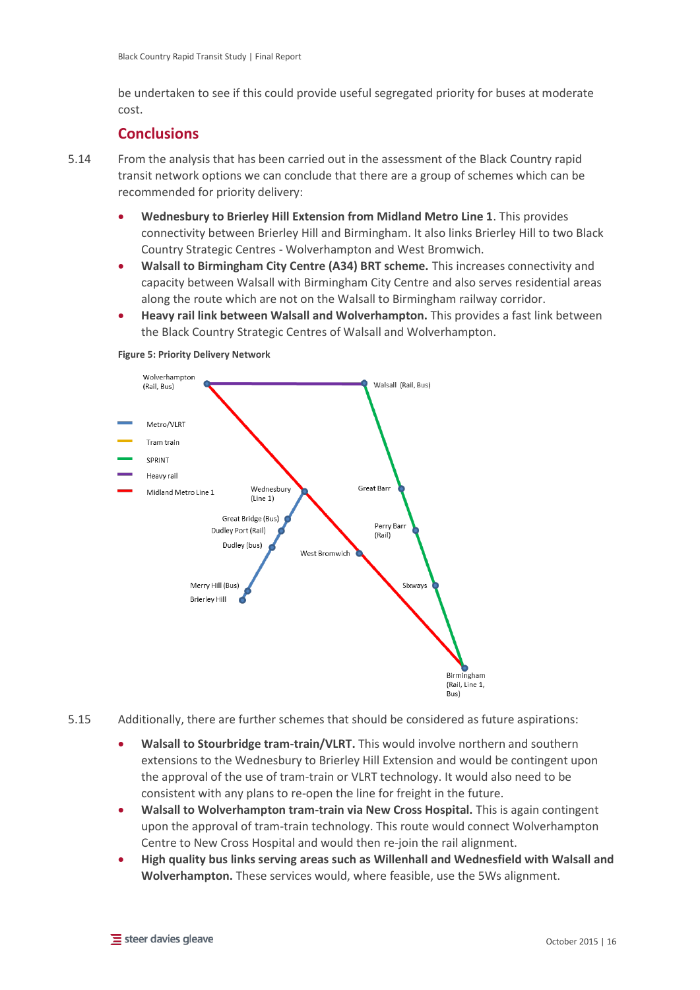be undertaken to see if this could provide useful segregated priority for buses at moderate cost.

## <span id="page-21-0"></span>**Conclusions**

5.14 From the analysis that has been carried out in the assessment of the Black Country rapid transit network options we can conclude that there are a group of schemes which can be recommended for priority delivery:

- **Wednesbury to Brierley Hill Extension from Midland Metro Line 1**. This provides connectivity between Brierley Hill and Birmingham. It also links Brierley Hill to two Black Country Strategic Centres - Wolverhampton and West Bromwich.
- **Walsall to Birmingham City Centre (A34) BRT scheme.** This increases connectivity and capacity between Walsall with Birmingham City Centre and also serves residential areas along the route which are not on the Walsall to Birmingham railway corridor.
- **Heavy rail link between Walsall and Wolverhampton.** This provides a fast link between the Black Country Strategic Centres of Walsall and Wolverhampton.



#### <span id="page-21-1"></span>**Figure 5: Priority Delivery Network**

- 5.15 Additionally, there are further schemes that should be considered as future aspirations:
	- **Walsall to Stourbridge tram-train/VLRT.** This would involve northern and southern extensions to the Wednesbury to Brierley Hill Extension and would be contingent upon the approval of the use of tram-train or VLRT technology. It would also need to be consistent with any plans to re-open the line for freight in the future.
	- **Walsall to Wolverhampton tram-train via New Cross Hospital.** This is again contingent upon the approval of tram-train technology. This route would connect Wolverhampton Centre to New Cross Hospital and would then re-join the rail alignment.
	- **High quality bus links serving areas such as Willenhall and Wednesfield with Walsall and Wolverhampton.** These services would, where feasible, use the 5Ws alignment.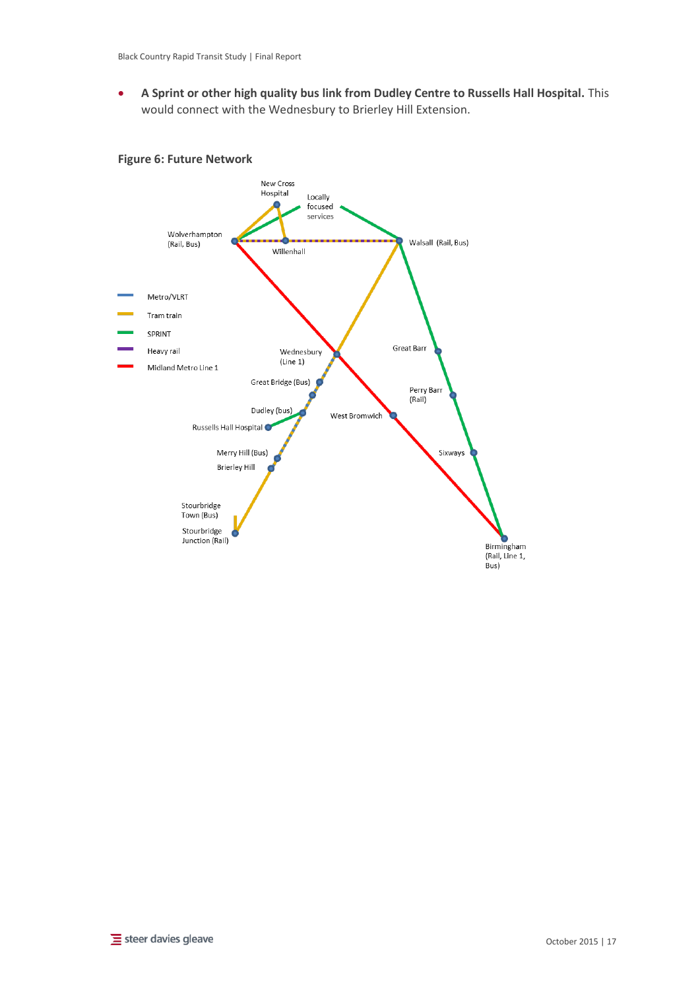**A Sprint or other high quality bus link from Dudley Centre to Russells Hall Hospital.** This would connect with the Wednesbury to Brierley Hill Extension.

### <span id="page-22-0"></span>**Figure 6: Future Network**

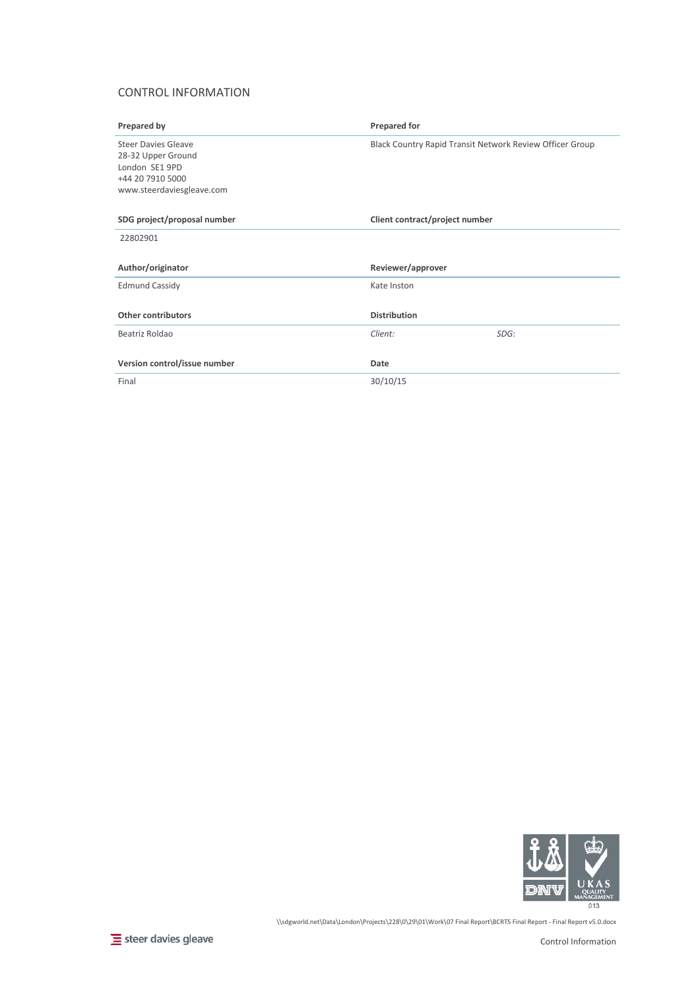### CONTROL INFORMATION

| Prepared by                                                                                                         | <b>Prepared for</b>                                      |
|---------------------------------------------------------------------------------------------------------------------|----------------------------------------------------------|
| <b>Steer Davies Gleave</b><br>28-32 Upper Ground<br>London SE1 9PD<br>+44 20 7910 5000<br>www.steerdaviesgleave.com | Black Country Rapid Transit Network Review Officer Group |
| SDG project/proposal number                                                                                         | Client contract/project number                           |
| 22802901                                                                                                            |                                                          |
| Author/originator                                                                                                   | Reviewer/approver                                        |
| <b>Edmund Cassidy</b>                                                                                               | Kate Inston                                              |
| <b>Other contributors</b>                                                                                           | <b>Distribution</b>                                      |
| Beatriz Roldao                                                                                                      | Client:<br>SDG:                                          |
| Version control/issue number                                                                                        | Date                                                     |
| Final                                                                                                               | 30/10/15                                                 |



\\sdgworld.net\Data\London\Projects\228\0\29\01\Work\07 Final Report\BCRTS Final Report - Final Report v5.0.docx